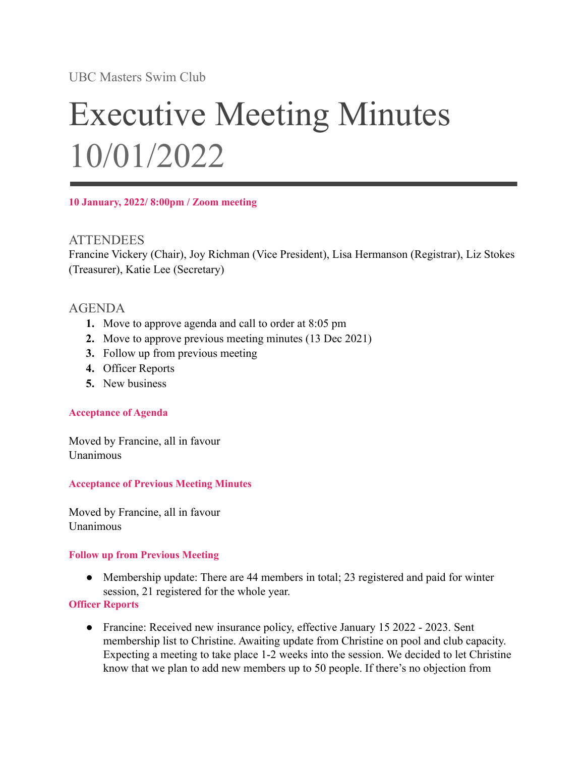UBC Masters Swim Club

# Executive Meeting Minutes 10/01/2022

**10 January, 2022/ 8:00pm / Zoom meeting**

### **ATTENDEES**

Francine Vickery (Chair), Joy Richman (Vice President), Lisa Hermanson (Registrar), Liz Stokes (Treasurer), Katie Lee (Secretary)

# AGENDA

- **1.** Move to approve agenda and call to order at 8:05 pm
- **2.** Move to approve previous meeting minutes (13 Dec 2021)
- **3.** Follow up from previous meeting
- **4.** Officer Reports
- **5.** New business

#### **Acceptance of Agenda**

Moved by Francine, all in favour Unanimous

#### **Acceptance of Previous Meeting Minutes**

Moved by Francine, all in favour Unanimous

#### **Follow up from Previous Meeting**

• Membership update: There are 44 members in total; 23 registered and paid for winter session, 21 registered for the whole year.

#### **Officer Reports**

● Francine: Received new insurance policy, effective January 15 2022 - 2023. Sent membership list to Christine. Awaiting update from Christine on pool and club capacity. Expecting a meeting to take place 1-2 weeks into the session. We decided to let Christine know that we plan to add new members up to 50 people. If there's no objection from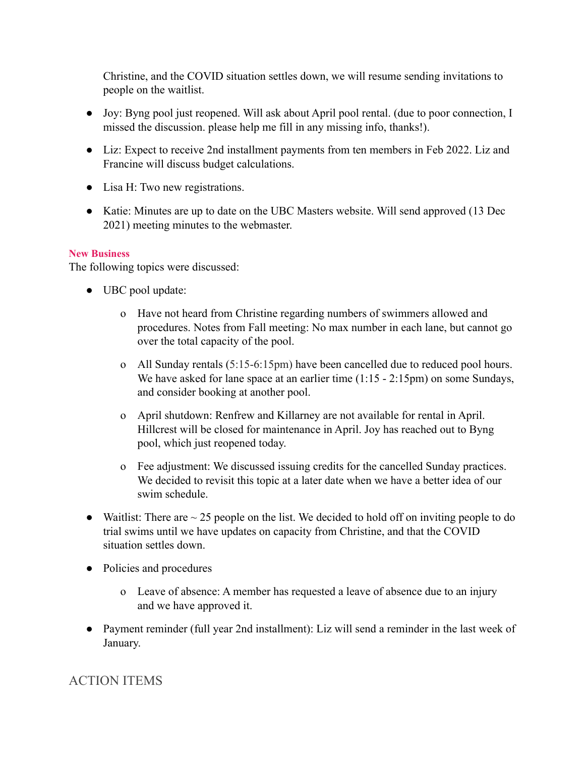Christine, and the COVID situation settles down, we will resume sending invitations to people on the waitlist.

- Joy: Byng pool just reopened. Will ask about April pool rental. (due to poor connection, I missed the discussion. please help me fill in any missing info, thanks!).
- Liz: Expect to receive 2nd installment payments from ten members in Feb 2022. Liz and Francine will discuss budget calculations.
- Lisa H: Two new registrations.
- Katie: Minutes are up to date on the UBC Masters website. Will send approved (13 Dec 2021) meeting minutes to the webmaster.

#### **New Business**

The following topics were discussed:

- UBC pool update:
	- o Have not heard from Christine regarding numbers of swimmers allowed and procedures. Notes from Fall meeting: No max number in each lane, but cannot go over the total capacity of the pool.
	- o All Sunday rentals (5:15-6:15pm) have been cancelled due to reduced pool hours. We have asked for lane space at an earlier time  $(1:15 - 2:15pm)$  on some Sundays, and consider booking at another pool.
	- o April shutdown: Renfrew and Killarney are not available for rental in April. Hillcrest will be closed for maintenance in April. Joy has reached out to Byng pool, which just reopened today.
	- o Fee adjustment: We discussed issuing credits for the cancelled Sunday practices. We decided to revisit this topic at a later date when we have a better idea of our swim schedule.
- Waitlist: There are  $\sim$  25 people on the list. We decided to hold off on inviting people to do trial swims until we have updates on capacity from Christine, and that the COVID situation settles down.
- Policies and procedures
	- o Leave of absence: A member has requested a leave of absence due to an injury and we have approved it.
- Payment reminder (full year 2nd installment): Liz will send a reminder in the last week of January.

# ACTION ITEMS